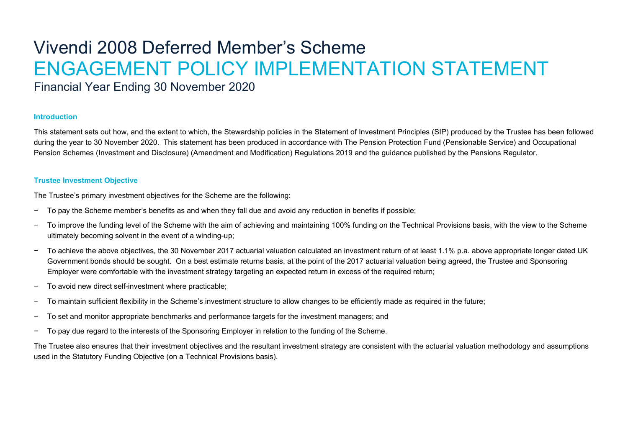# Vivendi 2008 Deferred Member's Scheme ENGAGEMENT POLICY IMPLEMENTATION STATEMENT

Financial Year Ending 30 November 2020

#### **Introduction**

This statement sets out how, and the extent to which, the Stewardship policies in the Statement of Investment Principles (SIP) produced by the Trustee has been followed during the year to 30 November 2020. This statement has been produced in accordance with The Pension Protection Fund (Pensionable Service) and Occupational Pension Schemes (Investment and Disclosure) (Amendment and Modification) Regulations 2019 and the guidance published by the Pensions Regulator.

## **Trustee Investment Objective**

The Trustee's primary investment objectives for the Scheme are the following:

- − To pay the Scheme member's benefits as and when they fall due and avoid any reduction in benefits if possible;
- − To improve the funding level of the Scheme with the aim of achieving and maintaining 100% funding on the Technical Provisions basis, with the view to the Scheme ultimately becoming solvent in the event of a winding-up;
- − To achieve the above objectives, the 30 November 2017 actuarial valuation calculated an investment return of at least 1.1% p.a. above appropriate longer dated UK Government bonds should be sought. On a best estimate returns basis, at the point of the 2017 actuarial valuation being agreed, the Trustee and Sponsoring Employer were comfortable with the investment strategy targeting an expected return in excess of the required return;
- − To avoid new direct self-investment where practicable;
- To maintain sufficient flexibility in the Scheme's investment structure to allow changes to be efficiently made as required in the future;
- To set and monitor appropriate benchmarks and performance targets for the investment managers; and
- − To pay due regard to the interests of the Sponsoring Employer in relation to the funding of the Scheme.

The Trustee also ensures that their investment objectives and the resultant investment strategy are consistent with the actuarial valuation methodology and assumptions used in the Statutory Funding Objective (on a Technical Provisions basis).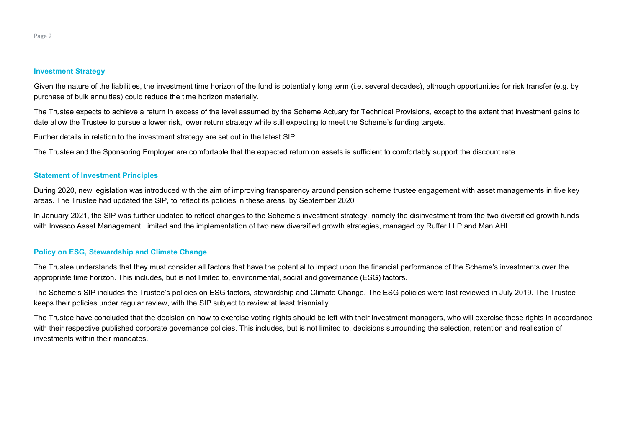Given the nature of the liabilities, the investment time horizon of the fund is potentially long term (i.e. several decades), although opportunities for risk transfer (e.g. by purchase of bulk annuities) could reduce the time horizon materially.

The Trustee expects to achieve a return in excess of the level assumed by the Scheme Actuary for Technical Provisions, except to the extent that investment gains to date allow the Trustee to pursue a lower risk, lower return strategy while still expecting to meet the Scheme's funding targets.

Further details in relation to the investment strategy are set out in the latest SIP.

The Trustee and the Sponsoring Employer are comfortable that the expected return on assets is sufficient to comfortably support the discount rate.

## **Statement of Investment Principles**

During 2020, new legislation was introduced with the aim of improving transparency around pension scheme trustee engagement with asset managements in five key areas. The Trustee had updated the SIP, to reflect its policies in these areas, by September 2020

In January 2021, the SIP was further updated to reflect changes to the Scheme's investment strategy, namely the disinvestment from the two diversified growth funds with Invesco Asset Management Limited and the implementation of two new diversified growth strategies, managed by Ruffer LLP and Man AHL.

# **Policy on ESG, Stewardship and Climate Change**

The Trustee understands that they must consider all factors that have the potential to impact upon the financial performance of the Scheme's investments over the appropriate time horizon. This includes, but is not limited to, environmental, social and governance (ESG) factors.

The Scheme's SIP includes the Trustee's policies on ESG factors, stewardship and Climate Change. The ESG policies were last reviewed in July 2019. The Trustee keeps their policies under regular review, with the SIP subject to review at least triennially.

The Trustee have concluded that the decision on how to exercise voting rights should be left with their investment managers, who will exercise these rights in accordance with their respective published corporate governance policies. This includes, but is not limited to, decisions surrounding the selection, retention and realisation of investments within their mandates.

Page 2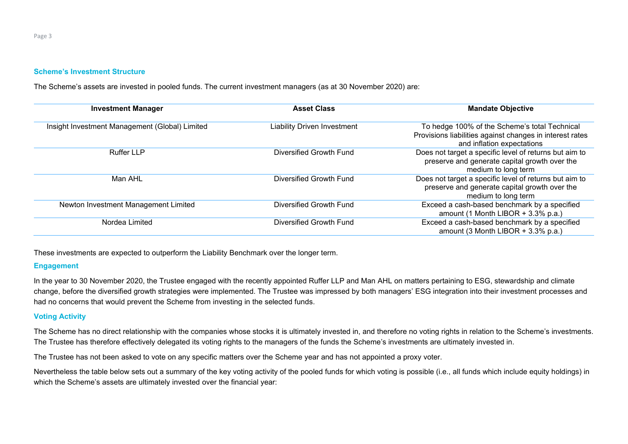Page 3

#### **Scheme's Investment Structure**

The Scheme's assets are invested in pooled funds. The current investment managers (as at 30 November 2020) are:

| <b>Investment Manager</b>                      | <b>Asset Class</b>                 | <b>Mandate Objective</b>                                                                                                                |
|------------------------------------------------|------------------------------------|-----------------------------------------------------------------------------------------------------------------------------------------|
| Insight Investment Management (Global) Limited | <b>Liability Driven Investment</b> | To hedge 100% of the Scheme's total Technical<br>Provisions liabilities against changes in interest rates<br>and inflation expectations |
| <b>Ruffer LLP</b>                              | Diversified Growth Fund            | Does not target a specific level of returns but aim to<br>preserve and generate capital growth over the<br>medium to long term          |
| Man AHL                                        | Diversified Growth Fund            | Does not target a specific level of returns but aim to<br>preserve and generate capital growth over the<br>medium to long term          |
| Newton Investment Management Limited           | Diversified Growth Fund            | Exceed a cash-based benchmark by a specified<br>amount (1 Month LIBOR + $3.3\%$ p.a.)                                                   |
| Nordea Limited                                 | Diversified Growth Fund            | Exceed a cash-based benchmark by a specified<br>amount (3 Month LIBOR + $3.3\%$ p.a.)                                                   |

These investments are expected to outperform the Liability Benchmark over the longer term.

# **Engagement**

In the year to 30 November 2020, the Trustee engaged with the recently appointed Ruffer LLP and Man AHL on matters pertaining to ESG, stewardship and climate change, before the diversified growth strategies were implemented. The Trustee was impressed by both managers' ESG integration into their investment processes and had no concerns that would prevent the Scheme from investing in the selected funds.

### **Voting Activity**

The Scheme has no direct relationship with the companies whose stocks it is ultimately invested in, and therefore no voting rights in relation to the Scheme's investments. The Trustee has therefore effectively delegated its voting rights to the managers of the funds the Scheme's investments are ultimately invested in.

The Trustee has not been asked to vote on any specific matters over the Scheme year and has not appointed a proxy voter.

Nevertheless the table below sets out a summary of the key voting activity of the pooled funds for which voting is possible (i.e., all funds which include equity holdings) in which the Scheme's assets are ultimately invested over the financial year: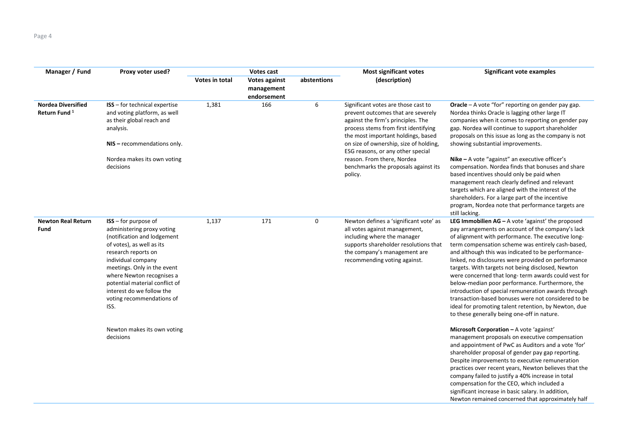| Manager / Fund                                        | Proxy voter used?                                                                                                                                                                                                                                                                                                             | Votes cast     |                                                   | <b>Most significant votes</b> | Significant vote examples                                                                                                                                                                                                                                                                                                                                     |                                                                                                                                                                                                                                                                                                                                                                                                                                                                                                                                                                                                                                                                                                                      |
|-------------------------------------------------------|-------------------------------------------------------------------------------------------------------------------------------------------------------------------------------------------------------------------------------------------------------------------------------------------------------------------------------|----------------|---------------------------------------------------|-------------------------------|---------------------------------------------------------------------------------------------------------------------------------------------------------------------------------------------------------------------------------------------------------------------------------------------------------------------------------------------------------------|----------------------------------------------------------------------------------------------------------------------------------------------------------------------------------------------------------------------------------------------------------------------------------------------------------------------------------------------------------------------------------------------------------------------------------------------------------------------------------------------------------------------------------------------------------------------------------------------------------------------------------------------------------------------------------------------------------------------|
|                                                       |                                                                                                                                                                                                                                                                                                                               | Votes in total | <b>Votes against</b><br>management<br>endorsement | abstentions                   | (description)                                                                                                                                                                                                                                                                                                                                                 |                                                                                                                                                                                                                                                                                                                                                                                                                                                                                                                                                                                                                                                                                                                      |
| <b>Nordea Diversified</b><br>Return Fund <sup>1</sup> | <b>ISS</b> - for technical expertise<br>and voting platform, as well<br>as their global reach and<br>analysis.<br>NIS - recommendations only.<br>Nordea makes its own voting<br>decisions                                                                                                                                     | 1,381          | 166                                               | 6                             | Significant votes are those cast to<br>prevent outcomes that are severely<br>against the firm's principles. The<br>process stems from first identifying<br>the most important holdings, based<br>on size of ownership, size of holding,<br>ESG reasons, or any other special<br>reason. From there, Nordea<br>benchmarks the proposals against its<br>policy. | Oracle - A vote "for" reporting on gender pay gap.<br>Nordea thinks Oracle is lagging other large IT<br>companies when it comes to reporting on gender pay<br>gap. Nordea will continue to support shareholder<br>proposals on this issue as long as the company is not<br>showing substantial improvements.<br>Nike $-$ A vote "against" an executive officer's<br>compensation. Nordea finds that bonuses and share<br>based incentives should only be paid when<br>management reach clearly defined and relevant<br>targets which are aligned with the interest of the<br>shareholders. For a large part of the incentive<br>program, Nordea note that performance targets are<br>still lacking.                  |
| <b>Newton Real Return</b><br>Fund                     | $ISS$ – for purpose of<br>administering proxy voting<br>(notification and lodgement<br>of votes), as well as its<br>research reports on<br>individual company<br>meetings. Only in the event<br>where Newton recognises a<br>potential material conflict of<br>interest do we follow the<br>voting recommendations of<br>ISS. | 1,137          | 171                                               | $\mathbf 0$                   | Newton defines a 'significant vote' as<br>all votes against management,<br>including where the manager<br>supports shareholder resolutions that<br>the company's management are<br>recommending voting against.                                                                                                                                               | LEG Immobilien $AG - A$ vote 'against' the proposed<br>pay arrangements on account of the company's lack<br>of alignment with performance. The executive long-<br>term compensation scheme was entirely cash-based,<br>and although this was indicated to be performance-<br>linked, no disclosures were provided on performance<br>targets. With targets not being disclosed, Newton<br>were concerned that long-term awards could vest for<br>below-median poor performance. Furthermore, the<br>introduction of special remuneration awards through<br>transaction-based bonuses were not considered to be<br>ideal for promoting talent retention, by Newton, due<br>to these generally being one-off in nature. |
|                                                       | Newton makes its own voting<br>decisions                                                                                                                                                                                                                                                                                      |                |                                                   |                               |                                                                                                                                                                                                                                                                                                                                                               | Microsoft Corporation - A vote 'against'<br>management proposals on executive compensation<br>and appointment of PwC as Auditors and a vote 'for'<br>shareholder proposal of gender pay gap reporting.<br>Despite improvements to executive remuneration<br>practices over recent years, Newton believes that the<br>company failed to justify a 40% increase in total<br>compensation for the CEO, which included a<br>significant increase in basic salary. In addition,<br>Newton remained concerned that approximately half                                                                                                                                                                                      |